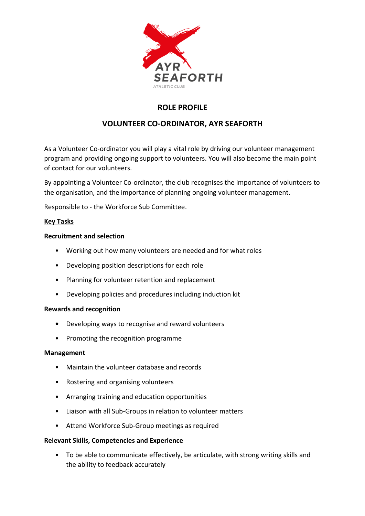

## **ROLE PROFILE**

# **VOLUNTEER CO-ORDINATOR, AYR SEAFORTH**

As a Volunteer Co-ordinator you will play a vital role by driving our volunteer management program and providing ongoing support to volunteers. You will also become the main point of contact for our volunteers.

By appointing a Volunteer Co-ordinator, the club recognises the importance of volunteers to the organisation, and the importance of planning ongoing volunteer management.

Responsible to - the Workforce Sub Committee.

## **Key Tasks**

## **Recruitment and selection**

- Working out how many volunteers are needed and for what roles
- Developing position descriptions for each role
- Planning for volunteer retention and replacement
- Developing policies and procedures including induction kit

#### **Rewards and recognition**

- **•** Developing ways to recognise and reward volunteers
- Promoting the recognition programme

#### **Management**

- Maintain the volunteer database and records
- Rostering and organising volunteers
- Arranging training and education opportunities
- Liaison with all Sub-Groups in relation to volunteer matters
- Attend Workforce Sub-Group meetings as required

#### **Relevant Skills, Competencies and Experience**

• To be able to communicate effectively, be articulate, with strong writing skills and the ability to feedback accurately